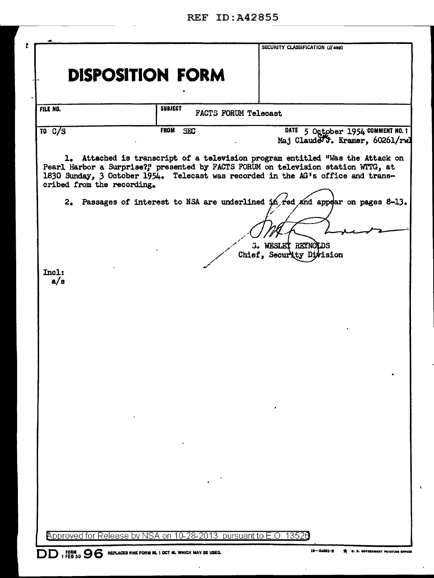|                                  | <b>DISPOSITION FORM</b>   |                                                                                                                                                                                                                                                         |
|----------------------------------|---------------------------|---------------------------------------------------------------------------------------------------------------------------------------------------------------------------------------------------------------------------------------------------------|
|                                  |                           |                                                                                                                                                                                                                                                         |
| <b>FILE NO.</b>                  | <b>SUBJECT</b>            | <b>FACTS FORUM Telecast</b>                                                                                                                                                                                                                             |
| $\overline{10}$ $\overline{C/S}$ | <b>FROM</b><br><b>SEC</b> | DATE 5 October 1954 COMMENT NO. 1<br>Maj Claude 5. Kramer, 60261/rwl                                                                                                                                                                                    |
| cribed from the recording.       |                           | 1. Attached is transcript of a television program entitled "Was the Attack on<br>Pearl Harbor a Surprise?;" presented by FACTS FORUM on television station WTTG, at<br>1630 Sunday, 3 October 1954. Telecast was recorded in the AG's office and trans- |
|                                  |                           | 2. Passages of interest to NSA are underlined in red and appear on pages 8-13.                                                                                                                                                                          |
|                                  |                           |                                                                                                                                                                                                                                                         |
|                                  |                           | <b>3. WESLET REYNOLDS</b><br>Chief, Security Division                                                                                                                                                                                                   |
| Incl:<br>a/s                     |                           |                                                                                                                                                                                                                                                         |
|                                  |                           |                                                                                                                                                                                                                                                         |
|                                  |                           |                                                                                                                                                                                                                                                         |
|                                  |                           |                                                                                                                                                                                                                                                         |
|                                  |                           |                                                                                                                                                                                                                                                         |
|                                  |                           |                                                                                                                                                                                                                                                         |
|                                  |                           |                                                                                                                                                                                                                                                         |
|                                  |                           |                                                                                                                                                                                                                                                         |
|                                  |                           |                                                                                                                                                                                                                                                         |
|                                  |                           |                                                                                                                                                                                                                                                         |
|                                  |                           |                                                                                                                                                                                                                                                         |

 $\Box$ 

 $\hat{\mathcal{L}}$ 

 $\mathbf{v}$ 

 $\mathcal{L}^{\pm}$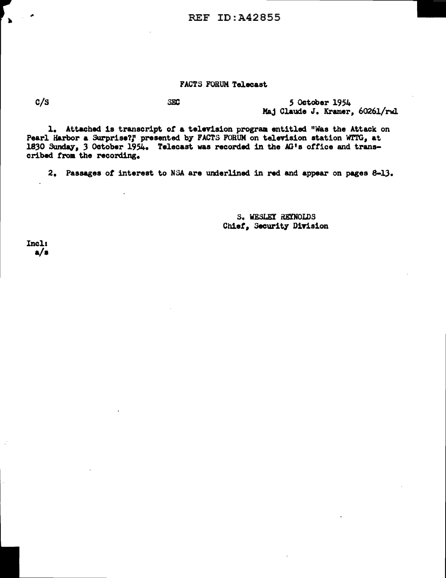REF ID: A42855

## FACTS FORUM Telecast

 $\mathbf{h}$ 

 $C/S$  SEC 580 50 tober 1954 Maj Claude J. Kramer, 60261/rwl

1. Attached is transcript of a television program entitled "Was the Attack on Pearl Harbor a Surprise?," presented by FACTS FORUM on television station WTTG, at 1830 Sunday, 3 October 1954. Telecast was recorded in the  $AG1s$  office and transcribed trom the recording.

2. Passages of interest to NSA are underlined in red and appear on pages 8-13.

s. WESLEY R.EX'NOLDS Chief, Security Division

Incl: a/a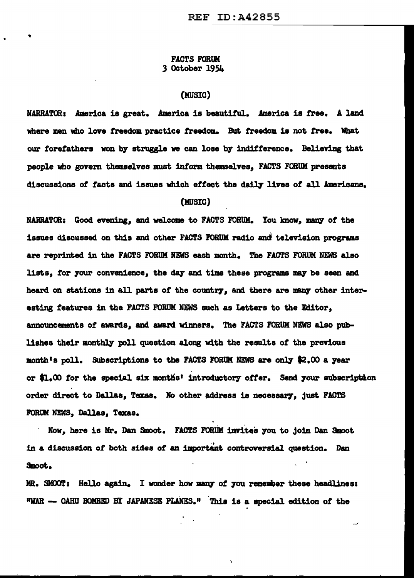## FACTS FORUM 3 October 19S4

## (MUSIC)

NARRATOR: America is great. America is beautiful. America is free. A land where men who love freedom practice freedom. But freedom is not free. What our forefathers won by struggle we can lose by indifference. Believing that people who govern themselves must inform themselves. FACTS FORUM presents discussions of facts and issues which effect the daily lives of all Americans. (MUSIC)

NARRATOR: Good evening, and welcome to FACTS FORUM. You know, many of the issues discussed on this and other FACTS FORUM radio and television programs are reprinted in the FACTS FORUM NEWS each month. The FACTS FORUM NEWS also lists, for your convenience, the day and time these programs may be seen and heard on stations in all parts of the country, and there are many other interesting features in the FACTS FORUM NEWS such as Letters to the Editor, announcements of awards, and award winners. The FACTS FORUM NEWS also publishes their montb]¥ poll question along with the results *ot* the previous month's poll. Subscriptions to the FACTS FORUM NEWS are only \$2.00 a year or \$1.00 for the special six months' introductory offer. Send your subscription order direct to Dallas, Texas. No other address is necessary, just FACTS FORUM NEWS, Dallas, Texas.

Now, here is Mr. Dan Smoot. FACTS FORUM invites you to join Dan Smoot in a discussion of both sides of an important controversial question. Dan &Boot.

MR. SMOOT: Hello again. I wonder how many of you remember these headlines: "WAR - OAHU BOMBED BY JAPANESE PLANES." This is a special edition of the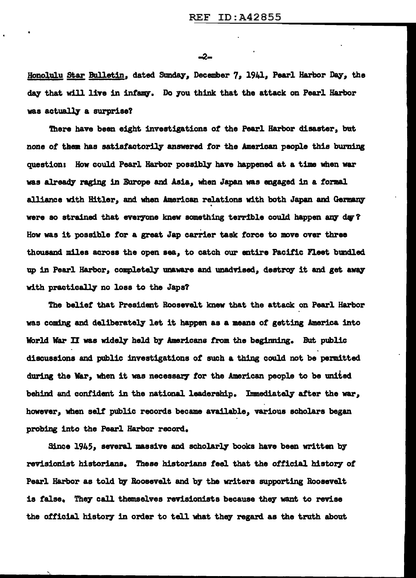-2-

Honolulu Star Bulletin, dated Sunday, December 7, 1941, Pearl Harbor Day, the day that will live in infamy. Do you think that the attack on Pearl Harbor was actually a surprise?

There have been eight investigations of the Pearl Harbor disaster, but none of them has satisfactorily answered for the American people this burning question: How could Pearl Harbor possibly have happened at a time when war was already raging in Europe and Asia, when Japan was engaged in a formal alliance with Hitler, and when American relations with both Japan and Germany were so strained that everyone knew something terrible could happen any day? How was it possible tor a great Jap carrier task force to move over three thousand miles across the open sea, to catch our entire Pacific Fleet bundled up in Pearl Harbor, completely unaware and unadvised, destroy it and get away with practically no loss to the Japs?

The belief that President Roosevelt knew that the attack on Pearl Harbor was coming and deliberately let it happen as a means of getting America into World War II was widely held by Americans from the beginning. But public discussions and public investigations of' such a thing could not be permitted during the War, when it was necessary for the American people to be united behind and confident in the national leadership. Immediately after the war, however, when self public records became available, various scholars began probing into the Pearl Harbor record.

Since 1945, several massive and scholarly books have been written by revisionist historians. These historians feel that the official history of Pearl Harbor as told by Roosevelt and by the writers supporting Roosevelt is false. They call themselves revisionists because they want to revise the official history in order to tell what they regard as the truth about

',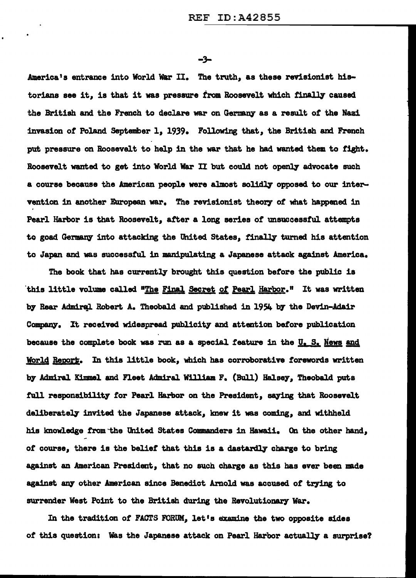-3-

America's entrance into World War II. The truth, as these revisionist historians see it, is that it was pressure from Roosevelt which finally caused the British and the French to declare war on Germany as a result of the Nazi invasion of Poland September 1, 1939. Following that, the British and French put pressure on Boosevelt to help in the war that he had wanted them to tight. Roosevelt wanted to get into World War II but could not openly advocate such a course because the American people were almost solidly opposed to our intervention in another European war. The revisionist theory of what happened in Pearl Harbor is that Roosevelt, after a long series of unsuccessful attempts to goad Germany into attacking the United States, finally turned his attention to Japan and was successful in manipulating a Japanese attack against America.

The book that has currently brought this question before the public is this little volume called "The Final Secret of Pearl Harbor." It was written by Rear Admiral Robert A. Theobald and published in 1954 by the Devin-Adair Company. It received widespread publicity and attention before publication because the complete book was run as a special feature in the  $U_s$ . S. News and World Report. In this little book, which has corroborative forewords written by Admiral Kimmel and Fleet Admiral William F. (Bull) Halsey, Theobald puts full responsibility for Pearl Harbor on the President, saying that Roosevelt deliberately invited the Japanese attack, knew it was coming, and withheld his lmowledge from ·the United States Commanders in Hawaii. On the other hand, of course, there is the belief that this is a dastardly charge to bring against an American President, that no such charge as this has ever been made against any other American since Benedict Arnold was accused of trying to surrender West Point to the British during the Revolutionary War.

In the tradition of FACTS FORUM, let's examine the two opposite sides of this question: Was the Japanese attack on Pearl Harbor actually a surprise?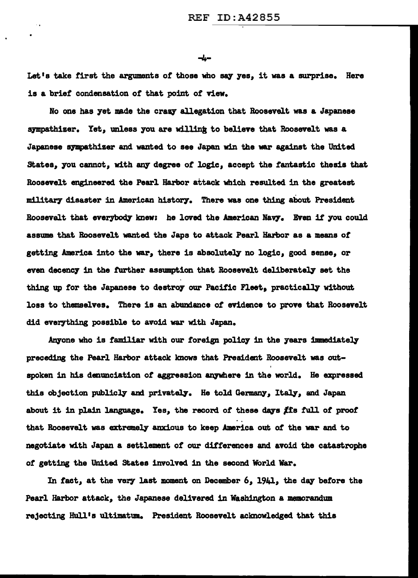-4-

Let's take first the arguments of those who say yes, it was a surprise. Here is a brief condensation of that point of view.

No one has yet made the crazy allegation that Roosevelt was a Japanese sympathizer. Yet, unless you are willing to believe that Roosevelt was a Japanese sympathizer and wanted to see Japan win the war against the United States, you cannot, with any degree of logic, accept the fantastic thesis that Roosevelt engineered the Pearl Harbor attack which resulted in the greatest; military disaster in American history. There was one thing about President Roosevelt that everybody knew: he loved the American Navy. Even if you could assume that Roosevelt wanted the Japs to attack Pearl Harbor as a means of' getting America into the war, there is absolutely no logic, good sense, or even decency in the further assumption that Roosevelt deliberately set the thing up for the Japanese to destroy our Pacific Fleet, practically without loss to themselves. There is an abundance of evidence to prove that Roosevelt did everything possible to avoid war with Japan.

Anyone who is familiar with our foreign policy in the years immediately preceding the Pearl Harbor attack knows that President Roosevelt was outspoken in his denunciation of aggression anywhere in the world. He expressed this objection publicly and privately. He told Germany, Italy, and Japan about it in plain language. Yes, the record of these days  $f$  fis full of proof that Roosevelt was extremely anxious to keep America out of the war and to negotiate with Japan a settlement of our differences and avoid the catastrophe of getting the United States involved in the second World War.

In fact, at the very last moment on December  $6$ ,  $1941$ , the day before the Pearl Harbor attack, the Japanese delivered in Washington a memorandum rejecting Hull's ultimatum. President Roosevelt acknowledged that this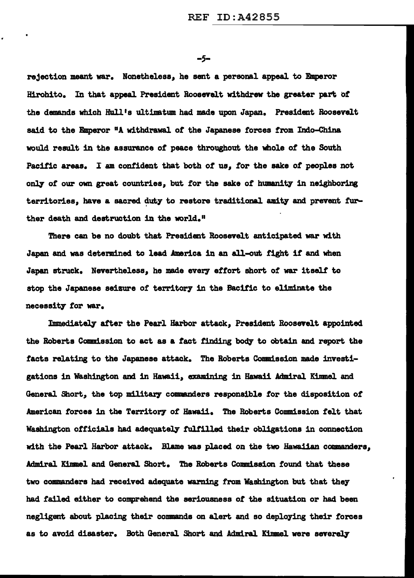*-s-*

rejection meant war. Nonetheless, he sent a personal appeal to Emperor Hirohito. In that appeal President Roosevelt withdrew the greater part of the demands which Hull's ultimatum had made upon Japan. President Roosevelt said to the Emperor <sup>a</sup>A withdrawal of the Japanese forces from Indo-China would result in the assurance *ot* peace throughout the whole of the South Pacific areas. I am confident that both *ot* us, tor the sake of peoples not only of our own great countries, but for the sake of humanity in neighboring territories, have a sacred duty to restore traditional amity and prevent further death and destruction in the world."

There can be no doubt that President Roosevelt anticipated war with Japan and was determined to lead America in an all-out fight if and when Japan struck. Nevertheless, he made every effort short of war itself to stop the Japanese seizure of territory in the Bacific to eliminate the necessity for war.

Immediately after the Pearl Harbor attack, President Roosevelt appointed the Roberts Commission to act as a fact finding body to obtain and report the facts relating to the Japanese attack. The Roberts Commission made investigations in Washington and in Hawaii, examining in Hawaii Admiral Kimmel and General Short, the top military commanders responsible tor the disposition of American forces in the Territory of Hawaii. The Roberts Commission felt that Washington officials had adequately fulfilled their obligations in connection with the Pearl Harbor attack. Blame was placed on the two Hawaiian commanders, Admiral Kimmel and General Short. The Roberts Commission found that these two comanders bad received adequate warning from Washington but that they had failed either to comprehend the seriousness *ot* the situation or had been negligent about placing their commands on alert and so deploying their forces as to avoid disaster. Both General Short and Admiral Kinmel were severely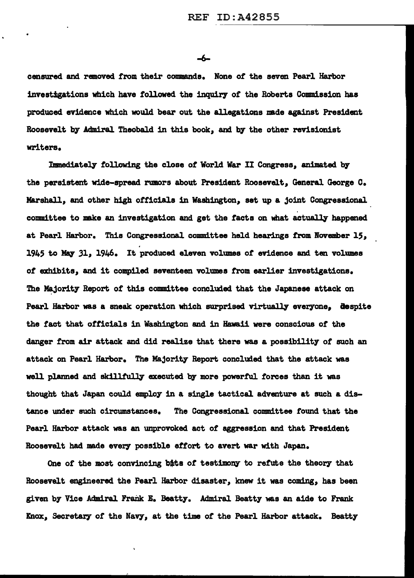-6-

censured and removed from their commands. None of the seven Pearl Harbor investigations which have followed the inquiry of the Roberts Commission has produced evidence which would bear out the allegations made against President Roosevelt by Admiral Theobald 1n this book, and by the other revisionist writers.

Immediately following the close of World War II Congress, animated by the persistent wide-spread rumors about President Roosevelt, General George c. Marshall, and other high officials in Washington, set up a joint Congressional committee to make an investigation and get the facts on what actually happened at Pearl Harbor. This Congressional committee held hearings from November 15, 1945 to May 31, 1946. It produced eleven volumes of evidence and ten volumes *ot* exhibits, and it compiled seventeen volumes from earlier investigations. The Majority Report of this committee concluded that the Japanese attack on Pearl Harbor was a sneak operation which surprised virtually everyone. despite the fact that officials in Washington and in Hawaii were conscious of the danger from air attack and did realize that there was a possibility of such an attack on Pearl Harbor. The Majority Report concluded that the attack was well planned and skillfully executed by more powerful forces than it was thought that Japan could employ in a single tactical adventure at such a distance under such circumstances. The Congressional committee found that the Pearl Harbor attack was an unprovoked. act *ot* aggression and that President Roosevelt had made every possible effort to avert war with Japan.

One of the most convincing bits of testimony to refute the theory that Roosevelt engineered the Pearl Harbor disaster, knew it was coming, has been given by Vice Admiral Frank E. Beatty. Admiral Beatty was an aide to Frank Knox, Secretary of the Navy, at the time of the Pearl Harbor attack. Beatty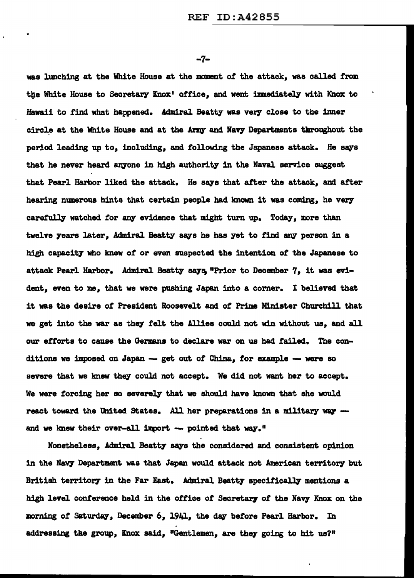-7-

was lunching at the White House at the moment *ot* the attack, was called trom the White House to Secretary Knox' office, and went immediately with Knox to Hawaii to find what happened. Admiral Beatty was verr close to the inner circle at the White House and at the Army and Navy Departments throughout the period leading up to, including, and following the Japanese attack. He says that he never heard anyone in high authority in the Naval service suggest that Pearl Harbor liked the attack. He says that after the attack, and after hearing numerous hints that certain people had known it was coming, he very carefully watched for any evidence that might turn up. Today, more than twelve years later, Admiral Beatty says he has yet to find any person in a high capacity who knew *ot* or even suspected the intention *ot* the Japanese to attack Pearl Harbor. Admiral Beatty says, "Prior to December 7, it was evident, even to me, that we were pushing Japan into a corner. I believed that it was the desire of President Roosevelt and *ot* Prime Minister Churchill that we get into the war as they felt the Allies could not win without us, and all our efforts to cause the Germans to declare war on us had failed. The conditions we imposed on Japan -- get out of China, for example -- were so severe that we knew they could not accept. We did not want her to accept. We were forcing her so severely that we should have known that she would react toward the United States. All her preparations in a military way -and we knew their over-all import  $-$  pointed that way."

Nonetheless, Admiral Beatty says the considered and consistent opinion in the Navy Department was that Japan would attack not American territory but British territory in the Far East. Admiral Beatty specifically mentions a high level conference held in the office of Secretary of the Navy Knox on the morning of Saturday, December 6, 1941, the day before Pearl Harbor. In addressing the group, Knox said, "Gentlemen, are they going to hit us?"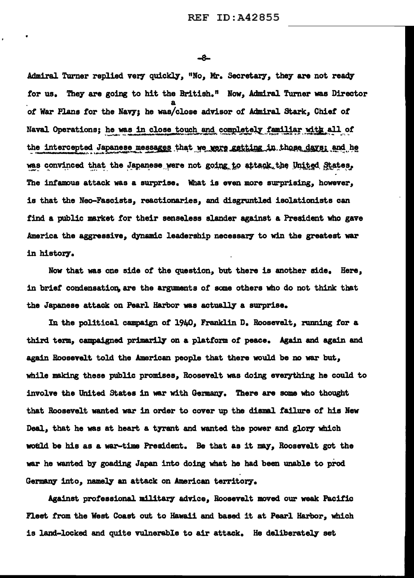-8-

Admiral Turner replied very quickly, "No, Mr. Secretary, they are not ready for us. They are going to hit the British." Now, Admiral Turner was Director of War Plans for the Navy; he was/close advisor of Admiral Stark, Chief of Naval Operations; he was in close touch and completely familiar with all of the intercepted Japanese messages that we were getting in those days; and he was convinced that the Japanese were not going to attack the United States. The infamous attack was a surprise. What is even more surprising, however, is that the Neo-Fascists, reactionaries, and disgruntled isolationists can find a public market for their senseless slander against a President who gave America the aggressive, dynamic leadership necessary to win the greatest war in history.

Now that was one side of the question, but there is another side. Here, in brief condensation, are the arguments of some others who do not think that the Japanese attack on Pearl Harbor was actually a surprise.

In the political campaign of 1940, Franklin D. Roosevelt, running for a third term, campaigned primarily on a platform of peace. Again and again and again Roosevelt told the American people that there would be no war but, while making these public promises, Roosevelt was doing everything he could to involve the United States in war with Germany. There are some who thought that Roosevelt wanted war in order to cover up the dismal failure of his New Deal, that he was at heart a tyrant and wanted the power and glory which would be his as a war-time President. Be that as it may, Roosevelt got the war he wanted by goading Japan into doing what he had been unable to prod Germany into, namely an attack on American territory.

Against professional military advice, Roosevelt moved our weak Pacific Fleet from the West Coast out to Hawaii and based it at Pearl Harbor, which is land-locked and quite vulnerable to air attack. He deliberately set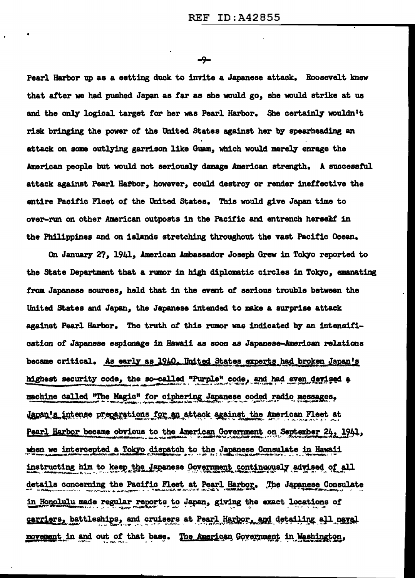$-9-$ 

Pearl Harbor up as a setting duck to invite a Japanese attack. Roosevelt knew that after we had pushed Japan as far as she would go, she would strike at us and the only logical target for her was Pearl Harbor. She certainly wouldn't risk bringing the power of the United States against her by spearheading an attack on some outlying garrison like Guam, which would merely enrage the American people but would not seriously damage American strength. A successful attack against Pearl Hapbor, however, could destroy or render ineffective the entire Pacific Fleet of the United States. This would give Japan time to over-run on other American outposts in the Pacific and entrench herself in the Philippines and on islands stretching throughout the vast Pacific Ocean.

On January 27, 1941, American Ambassador Joseph Grew in Tokyo reported to the State Department that a rumor in high diplomatic circles in Tokyo, emanating from Japanese sources, held that in the event of serious trouble between the United States and Japan, the Japanese intended to make a surprise attack against Pearl Harbor. The truth of this rumor was indicated by an intensification of Japanese espionage in Hawaii as soon as Japanese-American relations became critical. As early as 1940, United States experts had broken Japan's highest security code, the so-called "Purple" code, and had even devised a machine called "The Magic" for ciphering Japanese coded radio messages, Japan's intense preparations for an attack against the American Fleet at Pearl Harbor became obvious to the American Government on September 24, 1941, when we intercepted a Tokyo dispatch to the Japanese Consulate in Hawaii instructing him to keep the Japanese Government continuously advised of all details concerning the Pacific Fleet at Pearl Harbor. The Japanese Consulate in Honolulu made regular reports to Japan, giving the exact locations of carriers, battleships, and cruisers at Pearl Harbor, and detailing all naval movement in and out of that base. The American Government in Washington,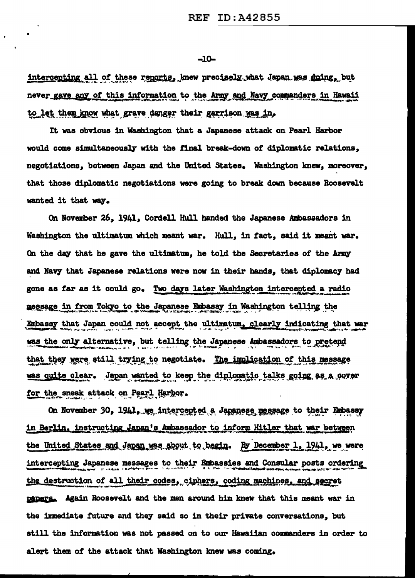-10-

intercepting all of these reports, knew precisely what Japan was going, but never gave any of this information to the Army and Navy commanders in Hawaii to let them know what grave danger their garrison was in.

•

It was obvious in W&shington that a Japanese attack on Pearl Harbor would come simultaneously with the final break-down of diplomatic relations, negotiations, between Japan and the United States. Washington knew, moreover, that those diplomatic negotiations were going to break down because Roosevelt wanted it that way.

On November 26, 1941, Cordell Hull handed the Japanese Ambassadors in Washington the ultimatum which meant war. Hull, in fact, said it meant war. On the day that he gave the ultimatum, he told the Secretaries of the Army and Navy that Japanese relations were now in their hands, that diplomacy had gone as far as it could go. Two days later Washington intercepted a radio message in from Tokyo to the Japanese Embassy in Washington telling the Embassy that Japan could not accept the ultimatum, clearly indicating that war was the only alternative, but telling the Japanese Ambassadors to pretend that they were still trying to negotiate. The implication of this message was quite clear. Japan wanted to keep the diplomatic talks going as a cover for the sneak attack on Pearl Harbor.

On November 30, 1941. we intercepted a Japanese message to their Embassy in Berlin, instructing Japan's Ambassador to inform Hitler that war between the United States and Japan was about to begin. By December 1, 1941, we were intercepting Japanese messages to their Embassies and Consular posts ordering the destruction of all their codes, ciphers, coding machines, and secret<br>papers. Again Roosevelt and the men around him knew that this meant war in the 1mmeciiate future and they said so in their private conversations, but still the information was not passed on to our Hawaiian commanders in order to alert them of the attack that Washington knew was coming.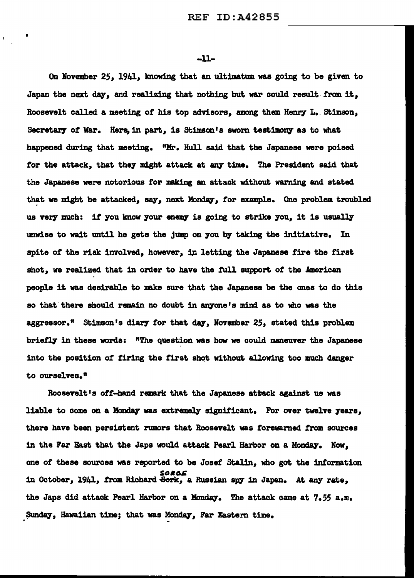-u-

•

On November 25, 1941, knowing that an ultimatum was going to be given to Japan the next day, and realizing that nothing but war could result from it, Roosevelt called a meeting of his top advisors, among them Henry L. Stimson, Secretary of War. Here, in part, is Stimson's sworn testimony as to what happened during that meeting. "Mr. Hull said that the Japanese were poised tor the attack, that they might attack at *any* time. The President said that the Japanese were notorious tor making an attack without warning and stated that we might be attacked, say, next Monday, for example. One problem troubled us very much: if you know your enemy is going to strike you, it is usually unwise to wait until he gets the jump on you by taking the initiative. In spite of the risk involved, however, in letting the Japanese fire the first shot, we realized that in order to have the tull support *ot* the American people it was desirable to nake sure that the Japanese be the ones to do this so that there should remain no doubt in anyone's mind as to who was the aggressor.<sup>"</sup> Stimson's diary for that day, November  $25$ , stated this problem briefly in these words: "The question was how we could maneuver the Japanese into the position of firing the first shot without allowing too much danger to ourselves."

Roosevelt's off-hand remark that the Japanese attack against us was liable to come on a Monday was extremely significant. For over twelve years, there have been persistent rumors that Roosevelt was forewarned from sources in the Far East that the Japs would attack Pearl Harbor on a Monday. Now, one *ot* these sources was reported to be Josef stalin, who got the information SORGE<br>in October, 1941, from Richard <del>Sork</del>, a Russian spy in Japan. At any rate, the Japs did attack Pearl Harbor on a Monday. The attack came at  $7.55$  a.m. Sunday, Hawaiian time; that was Monday, Far Eastern time.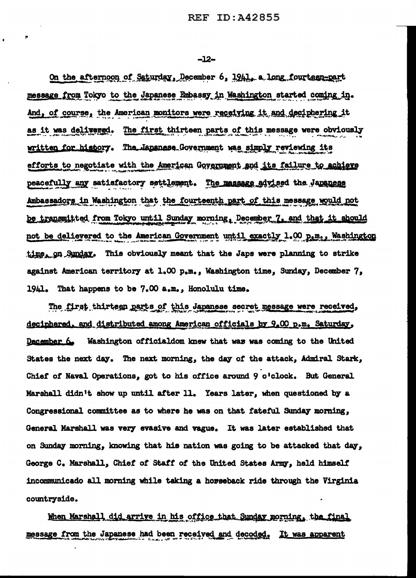$-12-$ 

On the afternoon of Saturday, December 6, 1941, a long fourteen-part message from Tokyo to the Japanese Embassy in Washington started coming in. And, of course, the American monitors were receiving it and deciphering it as it was delivered. The first thirteen parts of this message were obviously written for history. The Japanese Government was simply reviewing its efforts to negotiate with the American Government and its failure to achieve peacefully any satisfactory settlement. The massage advised the Japanese Ambassadors in Washington that the fourteenth part of this message would not be transmitted from Tokyo until Sunday morning, December 7, and that it should not be delievered to the American Government until exactly 1.00 p.m., Washington time, on Sunday. This obviously meant that the Japs were planning to strike against American territory at 1.00 p.m., Washington time, Sunday, December 7, 1941. That happens to be 7.00 a.m., Honolulu time.

The first thirteen parts of this Japanese secret message were received, deciphered, and distributed among American officials by 9.00 p.m. Saturday, December 6. Washington official dom knew that was was coming to the United States the next day. The next morning, the day of the attack, Admiral Stark, Chief of Naval Operations, got to his office around 9 o'clock. But General Marshall didn't show up until after 11. Years later, when questioned by a Congressional committee as to where he was on that fateful Sunday morning, General Marshall was very evasive and vague. It was later established that on Sunday morning, knowing that his nation was going to be attacked that day, George C. Marshall, Chief of Staff of the United States Army, held himself incommunicado all morning while taking a horseback ride through the Virginia countryside.

When Marshall did arrive in his office that Sunday morning, the final message from the Japanese had been received and decoded. It was apparent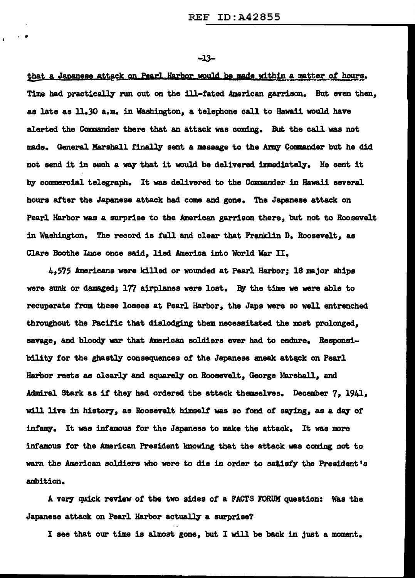-JJ-

. .

that a Japanese attack on Pearl Harbor would be made within a matter of hours. Time had practically run out on the ill-fated American garrison. But even then, as late as ll.JO a.m. in Washington, a telephone call to Hawaii would have alerted the Commander there that an attack was coming. But the call was not made. General Marshall finally sent a message to the Army Commander but he did not send it in such a way that it would be delivered immediately. He sent it by commercial telegraph. It was delivered to the Commander in Hawaii several hours after the Japanese attack had come and gone. The Japanese attack on Pearl Harbor was a surprise to the American garrison there, but not to Roosevelt in Washington. The record is full and clear that Franklin D. Roosevelt, as Clare Boothe Luce once said, lied America into World War II.

4<sup>1</sup> 575 Americana were killed or wounded at Pearl Harbor; 18 major ships were sunk or damaged; 177 airplanes were lost. By the time we were able to recuperate from these losses at Pearl Harbor, the Japs were so well entrenched throughout the Pacific that dislodging them necessitated the most prolonged, savage, and bloody war that American soldiers ever had to endure. Responsibility for the ghastly consequences of the Japanese sneak attack on Pearl Harbor rests as clearly and squarely on Roosevelt, George Marshall, and Admiral Stark as it they had ordered the attack themse1ves. December 7, 1941, will live in history, as Roosevelt himself was so fond of saying, as a day of infamy. It was infamous for the Japanese to make the attack. It was more intamous tor the American President knowing that the attack was coming not to wam the American soldiers who were to die in order to satisfy the President's ambition.

A veey quick review of' the two sides *ot* a FACTS FORUM question: Was the Japanese attack on Pearl Harbor actually a surprise?

I see that our time is almost gone, but I will be back in just a moment.